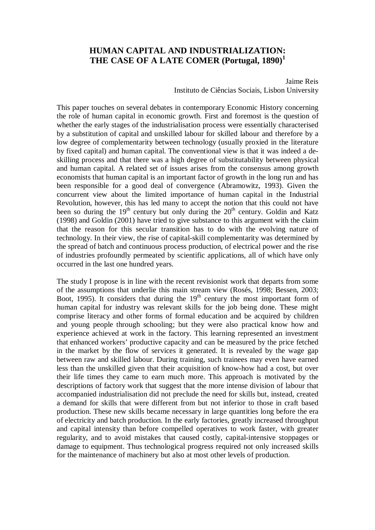# **HUMAN CAPITAL AND INDUSTRIALIZATION: THE CASE OF A LATE COMER (Portugal, 1890)<sup>1</sup>**

Jaime Reis Instituto de Ciências Sociais, Lisbon University

This paper touches on several debates in contemporary Economic History concerning the role of human capital in economic growth. First and foremost is the question of whether the early stages of the industrialisation process were essentially characterised by a substitution of capital and unskilled labour for skilled labour and therefore by a low degree of complementarity between technology (usually proxied in the literature by fixed capital) and human capital. The conventional view is that it was indeed a deskilling process and that there was a high degree of substitutability between physical and human capital. A related set of issues arises from the consensus among growth economists that human capital is an important factor of growth in the long run and has been responsible for a good deal of convergence (Abramowitz, 1993). Given the concurrent view about the limited importance of human capital in the Industrial Revolution, however, this has led many to accept the notion that this could not have been so during the  $19<sup>th</sup>$  century but only during the  $20<sup>th</sup>$  century. Goldin and Katz (1998) and Goldin (2001) have tried to give substance to this argument with the claim that the reason for this secular transition has to do with the evolving nature of technology. In their view, the rise of capital-skill complementarity was determined by the spread of batch and continuous process production, of electrical power and the rise of industries profoundly permeated by scientific applications, all of which have only occurred in the last one hundred years.

The study I propose is in line with the recent revisionist work that departs from some of the assumptions that underlie this main stream view (Rosés, 1998; Bessen, 2003; Boot, 1995). It considers that during the  $19<sup>th</sup>$  century the most important form of human capital for industry was relevant skills for the job being done. These might comprise literacy and other forms of formal education and be acquired by children and young people through schooling; but they were also practical know how and experience achieved at work in the factory. This learning represented an investment that enhanced workers' productive capacity and can be measured by the price fetched in the market by the flow of services it generated. It is revealed by the wage gap between raw and skilled labour. During training, such trainees may even have earned less than the unskilled given that their acquisition of know-how had a cost, but over their life times they came to earn much more. This approach is motivated by the descriptions of factory work that suggest that the more intense division of labour that accompanied industrialisation did not preclude the need for skills but, instead, created a demand for skills that were different from but not inferior to those in craft based production. These new skills became necessary in large quantities long before the era of electricity and batch production. In the early factories, greatly increased throughput and capital intensity than before compelled operatives to work faster, with greater regularity, and to avoid mistakes that caused costly, capital-intensive stoppages or damage to equipment. Thus technological progress required not only increased skills for the maintenance of machinery but also at most other levels of production.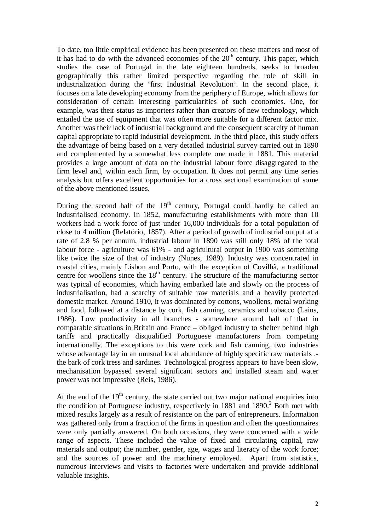To date, too little empirical evidence has been presented on these matters and most of it has had to do with the advanced economies of the  $20<sup>th</sup>$  century. This paper, which studies the case of Portugal in the late eighteen hundreds, seeks to broaden geographically this rather limited perspective regarding the role of skill in industrialization during the 'first Industrial Revolution'. In the second place, it focuses on a late developing economy from the periphery of Europe, which allows for consideration of certain interesting particularities of such economies. One, for example, was their status as importers rather than creators of new technology, which entailed the use of equipment that was often more suitable for a different factor mix. Another was their lack of industrial background and the consequent scarcity of human capital appropriate to rapid industrial development. In the third place, this study offers the advantage of being based on a very detailed industrial survey carried out in 1890 and complemented by a somewhat less complete one made in 1881. This material provides a large amount of data on the industrial labour force disaggregated to the firm level and, within each firm, by occupation. It does not permit any time series analysis but offers excellent opportunities for a cross sectional examination of some of the above mentioned issues.

During the second half of the  $19<sup>th</sup>$  century, Portugal could hardly be called an industrialised economy. In 1852, manufacturing establishments with more than 10 workers had a work force of just under 16,000 individuals for a total population of close to 4 million (Relatório, 1857). After a period of growth of industrial output at a rate of 2.8 % per annum, industrial labour in 1890 was still only 18% of the total labour force - agriculture was 61% - and agricultural output in 1900 was something like twice the size of that of industry (Nunes, 1989). Industry was concentrated in coastal cities, mainly Lisbon and Porto, with the exception of Covilhã, a traditional centre for woollens since the  $18<sup>th</sup>$  century. The structure of the manufacturing sector was typical of economies, which having embarked late and slowly on the process of industrialisation, had a scarcity of suitable raw materials and a heavily protected domestic market. Around 1910, it was dominated by cottons, woollens, metal working and food, followed at a distance by cork, fish canning, ceramics and tobacco (Lains, 1986). Low productivity in all branches - somewhere around half of that in comparable situations in Britain and France – obliged industry to shelter behind high tariffs and practically disqualified Portuguese manufacturers from competing internationally. The exceptions to this were cork and fish canning, two industries whose advantage lay in an unusual local abundance of highly specific raw materials . the bark of cork tress and sardines. Technological progress appears to have been slow, mechanisation bypassed several significant sectors and installed steam and water power was not impressive (Reis, 1986).

At the end of the  $19<sup>th</sup>$  century, the state carried out two major national enquiries into the condition of Portuguese industry, respectively in  $1881$  and  $1890$ .<sup>2</sup> Both met with mixed results largely as a result of resistance on the part of entrepreneurs. Information was gathered only from a fraction of the firms in question and often the questionnaires were only partially answered. On both occasions, they were concerned with a wide range of aspects. These included the value of fixed and circulating capital, raw materials and output; the number, gender, age, wages and literacy of the work force; and the sources of power and the machinery employed. Apart from statistics, numerous interviews and visits to factories were undertaken and provide additional valuable insights.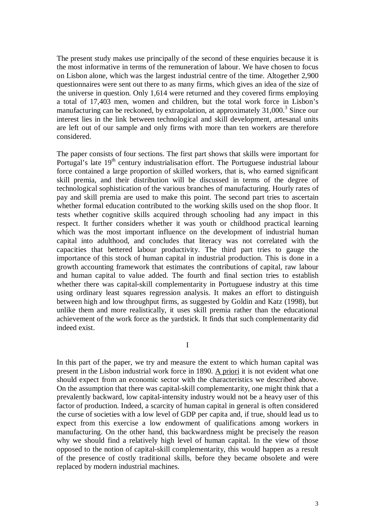The present study makes use principally of the second of these enquiries because it is the most informative in terms of the remuneration of labour. We have chosen to focus on Lisbon alone, which was the largest industrial centre of the time. Altogether 2,900 questionnaires were sent out there to as many firms, which gives an idea of the size of the universe in question. Only 1,614 were returned and they covered firms employing a total of 17,403 men, women and children, but the total work force in Lisbon's manufacturing can be reckoned, by extrapolation, at approximately  $31,000$ .<sup>3</sup> Since our interest lies in the link between technological and skill development, artesanal units are left out of our sample and only firms with more than ten workers are therefore considered.

The paper consists of four sections. The first part shows that skills were important for Portugal's late  $19<sup>th</sup>$  century industrialisation effort. The Portuguese industrial labour force contained a large proportion of skilled workers, that is, who earned significant skill premia, and their distribution will be discussed in terms of the degree of technological sophistication of the various branches of manufacturing. Hourly rates of pay and skill premia are used to make this point. The second part tries to ascertain whether formal education contributed to the working skills used on the shop floor. It tests whether cognitive skills acquired through schooling had any impact in this respect. It further considers whether it was youth or childhood practical learning which was the most important influence on the development of industrial human capital into adulthood, and concludes that literacy was not correlated with the capacities that bettered labour productivity. The third part tries to gauge the importance of this stock of human capital in industrial production. This is done in a growth accounting framework that estimates the contributions of capital, raw labour and human capital to value added. The fourth and final section tries to establish whether there was capital-skill complementarity in Portuguese industry at this time using ordinary least squares regression analysis. It makes an effort to distinguish between high and low throughput firms, as suggested by Goldin and Katz (1998), but unlike them and more realistically, it uses skill premia rather than the educational achievement of the work force as the yardstick. It finds that such complementarity did indeed exist.

I

In this part of the paper, we try and measure the extent to which human capital was present in the Lisbon industrial work force in 1890. A priori it is not evident what one should expect from an economic sector with the characteristics we described above. On the assumption that there was capital-skill complementarity, one might think that a prevalently backward, low capital-intensity industry would not be a heavy user of this factor of production. Indeed, a scarcity of human capital in general is often considered the curse of societies with a low level of GDP per capita and, if true, should lead us to expect from this exercise a low endowment of qualifications among workers in manufacturing. On the other hand, this backwardness might be precisely the reason why we should find a relatively high level of human capital. In the view of those opposed to the notion of capital-skill complementarity, this would happen as a result of the presence of costly traditional skills, before they became obsolete and were replaced by modern industrial machines.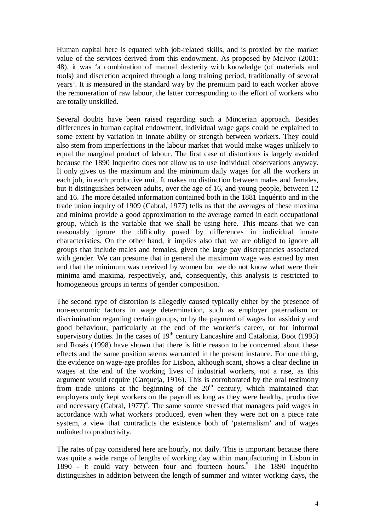Human capital here is equated with job-related skills, and is proxied by the market value of the services derived from this endowment. As proposed by McIvor (2001: 48), it was 'a combination of manual dexterity with knowledge (of materials and tools) and discretion acquired through a long training period, traditionally of several years'. It is measured in the standard way by the premium paid to each worker above the remuneration of raw labour, the latter corresponding to the effort of workers who are totally unskilled.

Several doubts have been raised regarding such a Mincerian approach. Besides differences in human capital endowment, individual wage gaps could be explained to some extent by variation in innate ability or strength between workers. They could also stem from imperfections in the labour market that would make wages unlikely to equal the marginal product of labour. The first case of distortions is largely avoided because the 1890 Inquerito does not allow us to use individual observations anyway. It only gives us the maximum and the minimum daily wages for all the workers in each job, in each productive unit. It makes no distinction between males and females, but it distinguishes between adults, over the age of 16, and young people, between 12 and 16. The more detailed information contained both in the 1881 Inquérito and in the trade union inquiry of 1909 (Cabral, 1977) tells us that the averages of these maxima and minima provide a good approximation to the average earned in each occupational group, which is the variable that we shall be using here. This means that we can reasonably ignore the difficulty posed by differences in individual innate characteristics. On the other hand, it implies also that we are obliged to ignore all groups that include males and females, given the large pay discrepancies associated with gender. We can presume that in general the maximum wage was earned by men and that the minimum was received by women but we do not know what were their minima amd maxima, respectively, and, consequently, this analysis is restricted to homogeneous groups in terms of gender composition.

The second type of distortion is allegedly caused typically either by the presence of non-economic factors in wage determination, such as employer paternalism or discrimination regarding certain groups, or by the payment of wages for assiduity and good behaviour, particularly at the end of the worker's career, or for informal supervisory duties. In the cases of  $19<sup>th</sup>$  century Lancashire and Catalonia, Boot (1995) and Rosés (1998) have shown that there is little reason to be concerned about these effects and the same position seems warranted in the present instance. For one thing, the evidence on wage-age profiles for Lisbon, although scant, shows a clear decline in wages at the end of the working lives of industrial workers, not a rise, as this argument would require (Carqueja, 1916). This is corroborated by the oral testimony from trade unions at the beginning of the  $20<sup>th</sup>$  century, which maintained that employers only kept workers on the payroll as long as they were healthy, productive and necessary (Cabral,  $1977)^4$ . The same source stressed that managers paid wages in accordance with what workers produced, even when they were not on a piece rate system, a view that contradicts the existence both of 'paternalism' and of wages unlinked to productivity.

The rates of pay considered here are hourly, not daily. This is important because there was quite a wide range of lengths of working day within manufacturing in Lisbon in 1890 - it could vary between four and fourteen hours.<sup>5</sup> The 1890 Inquérito distinguishes in addition between the length of summer and winter working days, the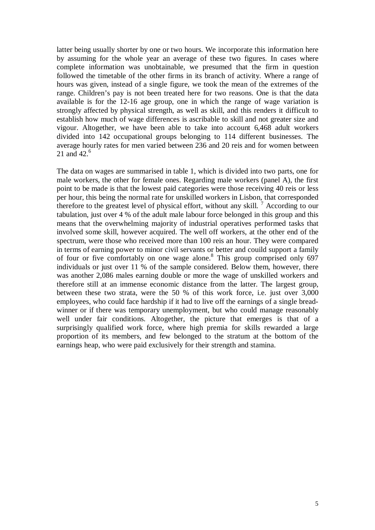latter being usually shorter by one or two hours. We incorporate this information here by assuming for the whole year an average of these two figures. In cases where complete information was unobtainable, we presumed that the firm in question followed the timetable of the other firms in its branch of activity. Where a range of hours was given, instead of a single figure, we took the mean of the extremes of the range. Children's pay is not been treated here for two reasons. One is that the data available is for the 12-16 age group, one in which the range of wage variation is strongly affected by physical strength, as well as skill, and this renders it difficult to establish how much of wage differences is ascribable to skill and not greater size and vigour. Altogether, we have been able to take into account 6,468 adult workers divided into 142 occupational groups belonging to 114 different businesses. The average hourly rates for men varied between 236 and 20 reis and for women between 21 and 42. $^6$ 

The data on wages are summarised in table 1, which is divided into two parts, one for male workers, the other for female ones. Regarding male workers (panel A), the first point to be made is that the lowest paid categories were those receiving 40 reis or less per hour, this being the normal rate for unskilled workers in Lisbon, that corresponded therefore to the greatest level of physical effort, without any skill.  $7$  According to our tabulation, just over 4 % of the adult male labour force belonged in this group and this means that the overwhelming majority of industrial operatives performed tasks that involved some skill, however acquired. The well off workers, at the other end of the spectrum, were those who received more than 100 reis an hour. They were compared in terms of earning power to minor civil servants or better and couild support a family of four or five comfortably on one wage alone.<sup>8</sup> This group comprised only 697 individuals or just over 11 % of the sample considered. Below them, however, there was another 2,086 males earning double or more the wage of unskilled workers and therefore still at an immense economic distance from the latter. The largest group, between these two strata, were the 50 % of this work force, i.e. just over 3,000 employees, who could face hardship if it had to live off the earnings of a single breadwinner or if there was temporary unemployment, but who could manage reasonably well under fair conditions. Altogether, the picture that emerges is that of a surprisingly qualified work force, where high premia for skills rewarded a large proportion of its members, and few belonged to the stratum at the bottom of the earnings heap, who were paid exclusively for their strength and stamina.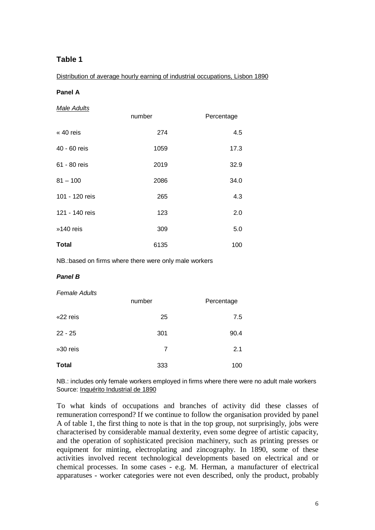# **Table 1**

Distribution of average hourly earning of industrial occupations, Lisbon 1890

### **Panel A**

|  |  | Male Adults |
|--|--|-------------|
|--|--|-------------|

|                | number | Percentage |
|----------------|--------|------------|
| « 40 reis      | 274    | 4.5        |
| 40 - 60 reis   | 1059   | 17.3       |
| 61 - 80 reis   | 2019   | 32.9       |
| $81 - 100$     | 2086   | 34.0       |
| 101 - 120 reis | 265    | 4.3        |
| 121 - 140 reis | 123    | 2.0        |
| »140 reis      | 309    | 5.0        |
| <b>Total</b>   | 6135   | 100        |

NB.:based on firms where there were only male workers

#### **Panel B**

#### Female Adults

|              | number | Percentage |
|--------------|--------|------------|
| «22 reis     | 25     | 7.5        |
| $22 - 25$    | 301    | 90.4       |
| »30 reis     | 7      | 2.1        |
| <b>Total</b> | 333    | 100        |

NB.: includes only female workers employed in firms where there were no adult male workers Source: Inquérito Industrial de 1890

To what kinds of occupations and branches of activity did these classes of remuneration correspond? If we continue to follow the organisation provided by panel A of table 1, the first thing to note is that in the top group, not surprisingly, jobs were characterised by considerable manual dexterity, even some degree of artistic capacity, and the operation of sophisticated precision machinery, such as printing presses or equipment for minting, electroplating and zincography. In 1890, some of these activities involved recent technological developments based on electrical and or chemical processes. In some cases - e.g. M. Herman, a manufacturer of electrical apparatuses - worker categories were not even described, only the product, probably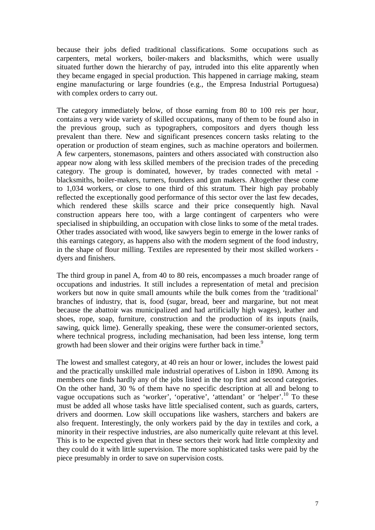because their jobs defied traditional classifications. Some occupations such as carpenters, metal workers, boiler-makers and blacksmiths, which were usually situated further down the hierarchy of pay, intruded into this elite apparently when they became engaged in special production. This happened in carriage making, steam engine manufacturing or large foundries (e.g., the Empresa Industrial Portuguesa) with complex orders to carry out.

The category immediately below, of those earning from 80 to 100 reis per hour, contains a very wide variety of skilled occupations, many of them to be found also in the previous group, such as typographers, compositors and dyers though less prevalent than there. New and significant presences concern tasks relating to the operation or production of steam engines, such as machine operators and boilermen. A few carpenters, stonemasons, painters and others associated with construction also appear now along with less skilled members of the precision trades of the preceding category. The group is dominated, however, by trades connected with metal blacksmiths, boiler-makers, turners, founders and gun makers. Altogether these come to 1,034 workers, or close to one third of this stratum. Their high pay probably reflected the exceptionally good performance of this sector over the last few decades, which rendered these skills scarce and their price consequently high. Naval construction appears here too, with a large contingent of carpenters who were specialised in shipbuilding, an occupation with close links to some of the metal trades. Other trades associated with wood, like sawyers begin to emerge in the lower ranks of this earnings category, as happens also with the modern segment of the food industry, in the shape of flour milling. Textiles are represented by their most skilled workers dyers and finishers.

The third group in panel A, from 40 to 80 reis, encompasses a much broader range of occupations and industries. It still includes a representation of metal and precision workers but now in quite small amounts while the bulk comes from the 'traditional' branches of industry, that is, food (sugar, bread, beer and margarine, but not meat because the abattoir was municipalized and had artificially high wages), leather and shoes, rope, soap, furniture, construction and the production of its inputs (nails, sawing, quick lime). Generally speaking, these were the consumer-oriented sectors, where technical progress, including mechanisation, had been less intense, long term growth had been slower and their origins were further back in time.<sup>9</sup>

The lowest and smallest category, at 40 reis an hour or lower, includes the lowest paid and the practically unskilled male industrial operatives of Lisbon in 1890. Among its members one finds hardly any of the jobs listed in the top first and second categories. On the other hand, 30 % of them have no specific description at all and belong to vague occupations such as 'worker', 'operative', 'attendant' or 'helper'.<sup>10</sup> To these must be added all whose tasks have little specialised content, such as guards, carters, drivers and doormen. Low skill occupations like washers, starchers and bakers are also frequent. Interestingly, the only workers paid by the day in textiles and cork, a minority in their respective industries, are also numerically quite relevant at this level. This is to be expected given that in these sectors their work had little complexity and they could do it with little supervision. The more sophisticated tasks were paid by the piece presumably in order to save on supervision costs.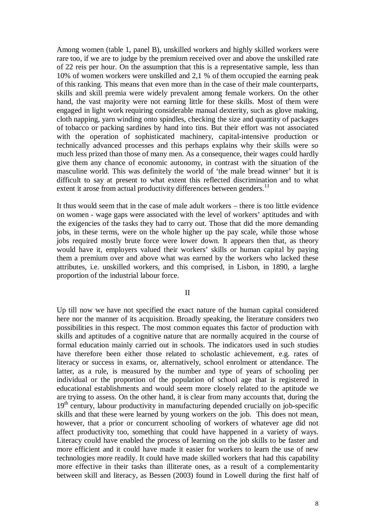Among women (table 1, panel B), unskilled workers and highly skilled workers were rare too, if we are to judge by the premium received over and above the unskilled rate of 22 reis per hour. On the assumption that this is a representative sample, less than 10% of women workers were unskilled and 2,1 % of them occupied the earning peak of this ranking. This means that even more than in the case of their male counterparts, skills and skill premia were widely prevalent among female workers. On the other hand, the vast majority were not earning little for these skills. Most of them were engaged in light work requiring considerable manual dexterity, such as glove making, cloth napping, yarn winding onto spindles, checking the size and quantity of packages of tobacco or packing sardines by hand into tins. But their effort was not associated with the operation of sophisticated machinery, capital-intensive production or technically advanced processes and this perhaps explains why their skills were so much less prized than those of many men. As a consequence, their wages could hardly give them any chance of economic autonomy, in contrast with the situation of the masculine world. This was definitely the world of 'the male bread winner' but it is difficult to say at present to what extent this reflected discrimination and to what extent it arose from actual productivity differences between genders.<sup>11</sup>

It thus would seem that in the case of male adult workers – there is too little evidence on women - wage gaps were associated with the level of workers' aptitudes and with the exigencies of the tasks they had to carry out. Those that did the more demanding jobs, in these terms, were on the whole higher up the pay scale, while those whose jobs required mostly brute force were lower down. It appears then that, as theory would have it, employers valued their workers' skills or human capital by paying them a premium over and above what was earned by the workers who lacked these attributes, i.e. unskilled workers, and this comprised, in Lisbon, in 1890, a larghe proportion of the industrial labour force.

### II

Up till now we have not specified the exact nature of the human capital considered here nor the manner of its acquisition. Broadly speaking, the literature considers two possibilities in this respect. The most common equates this factor of production with skills and aptitudes of a cognitive nature that are normally acquired in the course of formal education mainly carried out in schools. The indicators used in such studies have therefore been either those related to scholastic achievement, e.g. rates of literacy or success in exams, or, alternatively, school enrolment or attendance. The latter, as a rule, is measured by the number and type of years of schooling per individual or the proportion of the population of school age that is registered in educational establishments and would seem more closely related to the aptitude we are trying to assess. On the other hand, it is clear from many accounts that, during the  $19<sup>th</sup>$  century, labour productivity in manufacturing depended crucially on job-specific skills and that these were learned by young workers on the job. This does not mean, however, that a prior or concurrent schooling of workers of whatever age did not affect productivity too, something that could have happened in a variety of ways. Literacy could have enabled the process of learning on the job skills to be faster and more efficient and it could have made it easier for workers to learn the use of new technologies more readily. It could have made skilled workers that had this capability more effective in their tasks than illiterate ones, as a result of a complementarity between skill and literacy, as Bessen (2003) found in Lowell during the first half of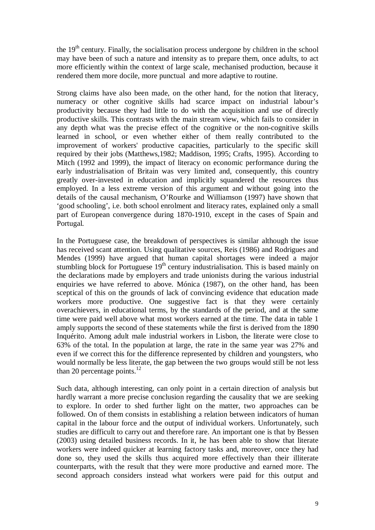the  $19<sup>th</sup>$  century. Finally, the socialisation process undergone by children in the school may have been of such a nature and intensity as to prepare them, once adults, to act more efficiently within the context of large scale, mechanised production, because it rendered them more docile, more punctual and more adaptive to routine.

Strong claims have also been made, on the other hand, for the notion that literacy, numeracy or other cognitive skills had scarce impact on industrial labour's productivity because they had little to do with the acquisition and use of directly productive skills. This contrasts with the main stream view, which fails to consider in any depth what was the precise effect of the cognitive or the non-cognitive skills learned in school, or even whether either of them really contributed to the improvement of workers' productive capacities, particularly to the specific skill required by their jobs (Matthews,1982; Maddison, 1995; Crafts, 1995). According to Mitch (1992 and 1999), the impact of literacy on economic performance during the early industrialisation of Britain was very limited and, consequently, this country greatly over-invested in education and implicitly squandered the resources thus employed. In a less extreme version of this argument and without going into the details of the causal mechanism, O'Rourke and Williamson (1997) have shown that 'good schooling', i.e. both school enrolment and literacy rates, explained only a small part of European convergence during 1870-1910, except in the cases of Spain and Portugal.

In the Portuguese case, the breakdown of perspectives is similar although the issue has received scant attention. Using qualitative sources, Reis (1986) and Rodrigues and Mendes (1999) have argued that human capital shortages were indeed a major stumbling block for Portuguese  $19<sup>th</sup>$  century industrialisation. This is based mainly on the declarations made by employers and trade unionists during the various industrial enquiries we have referred to above. Mónica (1987), on the other hand, has been sceptical of this on the grounds of lack of convincing evidence that education made workers more productive. One suggestive fact is that they were certainly overachievers, in educational terms, by the standards of the period, and at the same time were paid well above what most workers earned at the time. The data in table 1 amply supports the second of these statements while the first is derived from the 1890 Inquérito. Among adult male industrial workers in Lisbon, the literate were close to 63% of the total. In the population at large, the rate in the same year was 27% and even if we correct this for the difference represented by children and youngsters, who would normally be less literate, the gap between the two groups would still be not less than 20 percentage points.<sup>12</sup>

Such data, although interesting, can only point in a certain direction of analysis but hardly warrant a more precise conclusion regarding the causality that we are seeking to explore. In order to shed further light on the matter, two approaches can be followed. On of them consists in establishing a relation between indicators of human capital in the labour force and the output of individual workers. Unfortunately, such studies are difficult to carry out and therefore rare. An important one is that by Bessen (2003) using detailed business records. In it, he has been able to show that literate workers were indeed quicker at learning factory tasks and, moreover, once they had done so, they used the skills thus acquired more effectively than their illiterate counterparts, with the result that they were more productive and earned more. The second approach considers instead what workers were paid for this output and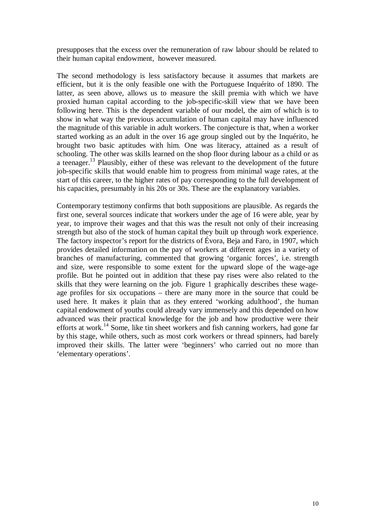presupposes that the excess over the remuneration of raw labour should be related to their human capital endowment, however measured.

The second methodology is less satisfactory because it assumes that markets are efficient, but it is the only feasible one with the Portuguese Inquérito of 1890. The latter, as seen above, allows us to measure the skill premia with which we have proxied human capital according to the job-specific-skill view that we have been following here. This is the dependent variable of our model, the aim of which is to show in what way the previous accumulation of human capital may have influenced the magnitude of this variable in adult workers. The conjecture is that, when a worker started working as an adult in the over 16 age group singled out by the Inquérito, he brought two basic aptitudes with him. One was literacy, attained as a result of schooling. The other was skills learned on the shop floor during labour as a child or as a teenager.13 Plausibly, either of these was relevant to the development of the future iob-specific skills that would enable him to progress from minimal wage rates, at the start of this career, to the higher rates of pay corresponding to the full development of his capacities, presumably in his 20s or 30s. These are the explanatory variables.

Contemporary testimony confirms that both suppositions are plausible. As regards the first one, several sources indicate that workers under the age of 16 were able, year by year, to improve their wages and that this was the result not only of their increasing strength but also of the stock of human capital they built up through work experience. The factory inspector's report for the districts of Évora, Beja and Faro, in 1907, which provides detailed information on the pay of workers at different ages in a variety of branches of manufacturing, commented that growing 'organic forces', i.e. strength and size, were responsible to some extent for the upward slope of the wage-age profile. But he pointed out in addition that these pay rises were also related to the skills that they were learning on the job. Figure 1 graphically describes these wageage profiles for six occupations – there are many more in the source that could be used here. It makes it plain that as they entered 'working adulthood', the human capital endowment of youths could already vary immensely and this depended on how advanced was their practical knowledge for the job and how productive were their efforts at work.<sup>14</sup> Some, like tin sheet workers and fish canning workers, had gone far by this stage, while others, such as most cork workers or thread spinners, had barely improved their skills. The latter were 'beginners' who carried out no more than 'elementary operations'.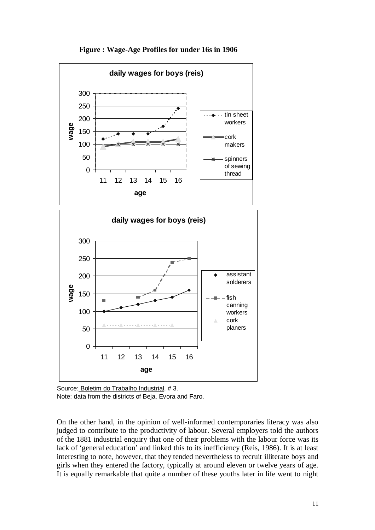

F**igure : Wage-Age Profiles for under 16s in 1906**

On the other hand, in the opinion of well-informed contemporaries literacy was also judged to contribute to the productivity of labour. Several employers told the authors of the 1881 industrial enquiry that one of their problems with the labour force was its lack of 'general education' and linked this to its inefficiency (Reis, 1986). It is at least interesting to note, however, that they tended nevertheless to recruit illiterate boys and girls when they entered the factory, typically at around eleven or twelve years of age. It is equally remarkable that quite a number of these youths later in life went to night

Source: Boletim do Trabalho Industrial, #3. Note: data from the districts of Beja, Evora and Faro.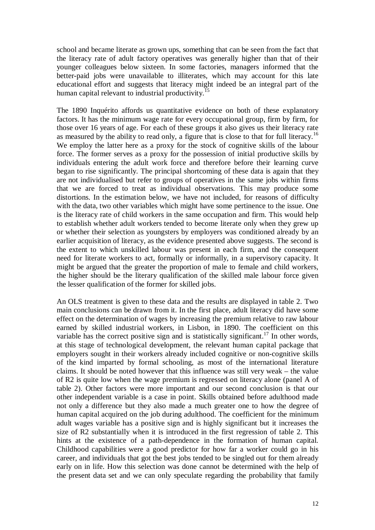school and became literate as grown ups, something that can be seen from the fact that the literacy rate of adult factory operatives was generally higher than that of their younger colleagues below sixteen. In some factories, managers informed that the better-paid jobs were unavailable to illiterates, which may account for this late educational effort and suggests that literacy might indeed be an integral part of the human capital relevant to industrial productivity.<sup>15</sup>

The 1890 Inquérito affords us quantitative evidence on both of these explanatory factors. It has the minimum wage rate for every occupational group, firm by firm, for those over 16 years of age. For each of these groups it also gives us their literacy rate as measured by the ability to read only, a figure that is close to that for full literacy.<sup>16</sup> We employ the latter here as a proxy for the stock of cognitive skills of the labour force. The former serves as a proxy for the possession of initial productive skills by individuals entering the adult work force and therefore before their learning curve began to rise significantly. The principal shortcoming of these data is again that they are not individualised but refer to groups of operatives in the same jobs within firms that we are forced to treat as individual observations. This may produce some distortions. In the estimation below, we have not included, for reasons of difficulty with the data, two other variables which might have some pertinence to the issue. One is the literacy rate of child workers in the same occupation and firm. This would help to establish whether adult workers tended to become literate only when they grew up or whether their selection as youngsters by employers was conditioned already by an earlier acquisition of literacy, as the evidence presented above suggests. The second is the extent to which unskilled labour was present in each firm, and the consequent need for literate workers to act, formally or informally, in a supervisory capacity. It might be argued that the greater the proportion of male to female and child workers, the higher should be the literary qualification of the skilled male labour force given the lesser qualification of the former for skilled jobs.

An OLS treatment is given to these data and the results are displayed in table 2. Two main conclusions can be drawn from it. In the first place, adult literacy did have some effect on the determination of wages by increasing the premium relative to raw labour earned by skilled industrial workers, in Lisbon, in 1890. The coefficient on this variable has the correct positive sign and is statistically significant.<sup>17</sup> In other words, at this stage of technological development, the relevant human capital package that employers sought in their workers already included cognitive or non-cognitive skills of the kind imparted by formal schooling, as most of the international literature claims. It should be noted however that this influence was still very weak – the value of R2 is quite low when the wage premium is regressed on literacy alone (panel A of table 2). Other factors were more important and our second conclusion is that our other independent variable is a case in point. Skills obtained before adulthood made not only a difference but they also made a much greater one to how the degree of human capital acquired on the job during adulthood. The coefficient for the minimum adult wages variable has a positive sign and is highly significant but it increases the size of R2 substantially when it is introduced in the first regression of table 2. This hints at the existence of a path-dependence in the formation of human capital. Childhood capabilities were a good predictor for how far a worker could go in his career, and individuals that got the best jobs tended to be singled out for them already early on in life. How this selection was done cannot be determined with the help of the present data set and we can only speculate regarding the probability that family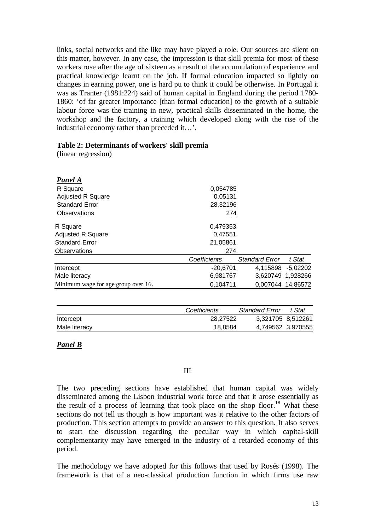links, social networks and the like may have played a role. Our sources are silent on this matter, however. In any case, the impression is that skill premia for most of these workers rose after the age of sixteen as a result of the accumulation of experience and practical knowledge learnt on the job. If formal education impacted so lightly on changes in earning power, one is hard pu to think it could be otherwise. In Portugal it was as Tranter (1981:224) said of human capital in England during the period 1780- 1860: 'of far greater importance [than formal education] to the growth of a suitable labour force was the training in new, practical skills disseminated in the home, the workshop and the factory, a training which developed along with the rise of the industrial economy rather than preceded it…'.

### **Table 2: Determinants of workers' skill premia**

(linear regression)

| Panel A                             |              |                       |                   |
|-------------------------------------|--------------|-----------------------|-------------------|
| R Square                            | 0,054785     |                       |                   |
| <b>Adjusted R Square</b>            | 0,05131      |                       |                   |
| <b>Standard Error</b>               | 28,32196     |                       |                   |
| Observations                        | 274          |                       |                   |
| R Square                            | 0,479353     |                       |                   |
| <b>Adjusted R Square</b>            | 0,47551      |                       |                   |
| <b>Standard Error</b>               | 21,05861     |                       |                   |
| Observations                        | 274          |                       |                   |
|                                     | Coefficients | <b>Standard Error</b> | t Stat            |
| Intercept                           | $-20,6701$   |                       | 4,115898 -5,02202 |
| Male literacy                       | 6,981767     |                       | 3,620749 1,928266 |
| Minimum wage for age group over 16. | 0.104711     |                       | 0,007044 14,86572 |

|               | Coefficients | <b>Standard Error</b> | t Stat            |
|---------------|--------------|-----------------------|-------------------|
| Intercept     | 28.27522     | 3.321705 8.512261     |                   |
| Male literacy | 18,8584      |                       | 4,749562 3,970555 |

## *Panel B*

## III

The two preceding sections have established that human capital was widely disseminated among the Lisbon industrial work force and that it arose essentially as the result of a process of learning that took place on the shop floor.<sup>18</sup> What these sections do not tell us though is how important was it relative to the other factors of production. This section attempts to provide an answer to this question. It also serves to start the discussion regarding the peculiar way in which capital-skill complementarity may have emerged in the industry of a retarded economy of this period.

The methodology we have adopted for this follows that used by Rosés (1998). The framework is that of a neo-classical production function in which firms use raw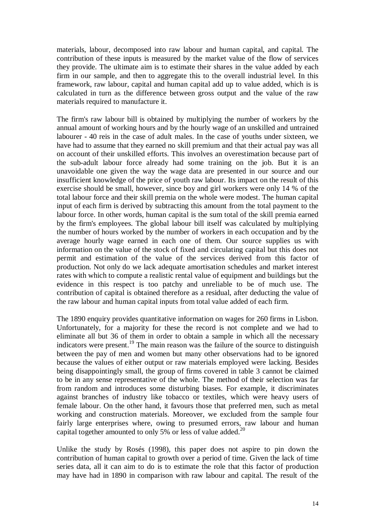materials, labour, decomposed into raw labour and human capital, and capital. The contribution of these inputs is measured by the market value of the flow of services they provide. The ultimate aim is to estimate their shares in the value added by each firm in our sample, and then to aggregate this to the overall industrial level. In this framework, raw labour, capital and human capital add up to value added, which is is calculated in turn as the difference between gross output and the value of the raw materials required to manufacture it.

The firm's raw labour bill is obtained by multiplying the number of workers by the annual amount of working hours and by the hourly wage of an unskilled and untrained labourer - 40 reis in the case of adult males. In the case of youths under sixteen, we have had to assume that they earned no skill premium and that their actual pay was all on account of their unskilled efforts. This involves an overestimation because part of the sub-adult labour force already had some training on the job. But it is an unavoidable one given the way the wage data are presented in our source and our insufficient knowledge of the price of youth raw labour. Its impact on the result of this exercise should be small, however, since boy and girl workers were only 14 % of the total labour force and their skill premia on the whole were modest. The human capital input of each firm is derived by subtracting this amount from the total payment to the labour force. In other words, human capital is the sum total of the skill premia earned by the firm's employees. The global labour bill itself was calculated by multiplying the number of hours worked by the number of workers in each occupation and by the average hourly wage earned in each one of them. Our source supplies us with information on the value of the stock of fixed and circulating capital but this does not permit and estimation of the value of the services derived from this factor of production. Not only do we lack adequate amortisation schedules and market interest rates with which to compute a realistic rental value of equipment and buildings but the evidence in this respect is too patchy and unreliable to be of much use. The contribution of capital is obtained therefore as a residual, after deducting the value of the raw labour and human capital inputs from total value added of each firm.

The 1890 enquiry provides quantitative information on wages for 260 firms in Lisbon. Unfortunately, for a majority for these the record is not complete and we had to eliminate all but 36 of them in order to obtain a sample in which all the necessary indicators were present.<sup>19</sup> The main reason was the failure of the source to distinguish between the pay of men and women but many other observations had to be ignored because the values of either output or raw materials employed were lacking. Besides being disappointingly small, the group of firms covered in table 3 cannot be claimed to be in any sense representative of the whole. The method of their selection was far from random and introduces some disturbing biases. For example, it discriminates against branches of industry like tobacco or textiles, which were heavy users of female labour. On the other hand, it favours those that preferred men, such as metal working and construction materials. Moreover, we excluded from the sample four fairly large enterprises where, owing to presumed errors, raw labour and human capital together amounted to only 5% or less of value added.<sup>20</sup>

Unlike the study by Rosés (1998), this paper does not aspire to pin down the contribution of human capital to growth over a period of time. Given the lack of time series data, all it can aim to do is to estimate the role that this factor of production may have had in 1890 in comparison with raw labour and capital. The result of the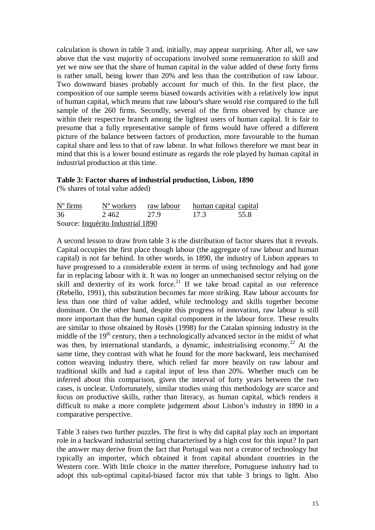calculation is shown in table 3 and, initially, may appear surprising. After all, we saw above that the vast majority of occupations involved some remuneration to skill and yet we now see that the share of human capital in the value added of these forty firms is rather small, being lower than 20% and less than the contribution of raw labour. Two downward biases probably account for much of this. In the first place, the composition of our sample seems biased towards activities with a relatively low input of human capital, which means that raw labour's share would rise compared to the full sample of the 260 firms. Secondly, several of the firms observed by chance are within their respective branch among the lightest users of human capital. It is fair to presume that a fully representative sample of firms would have offered a different picture of the balance between factors of production, more favourable to the human capital share and less to that of raw labour. In what follows therefore we must bear in mind that this is a lower bound estimate as regards the role played by human capital in industrial production at this time.

# **Table 3: Factor shares of industrial production, Lisbon, 1890**

(% shares of total value added)

| $N^{\circ}$ firms | N <sup>o</sup> workers raw labour |      | human capital capital |  |
|-------------------|-----------------------------------|------|-----------------------|--|
| 36                | 2.462                             | 27.9 | - 17.3<br>55.8        |  |
|                   | Source: Inquérito Industrial 1890 |      |                       |  |

A second lesson to draw from table 3 is the distribution of factor shares that it reveals. Capital occupies the first place though labour (the aggregate of raw labour and human capital) is not far behind. In other words, in 1890, the industry of Lisbon appears to have progressed to a considerable extent in terms of using technology and had gone far in replacing labour with it. It was no longer an unmechanised sector relying on the skill and dexterity of its work force.<sup>21</sup> If we take broad capital as our reference (Rebello, 1991), this substitution becomes far more striking. Raw labour accounts for less than one third of value added, while technology and skills together become dominant. On the other hand, despite this progress of innovation, raw labour is still more important than the human capital component in the labour force. These results are similar to those obtained by Rosès (1998) for the Catalan spinning industry in the middle of the  $19<sup>th</sup>$  century, then a technologically advanced sector in the midst of what was then, by international standards, a dynamic, industrialising economy.<sup>22</sup> At the same time, they contrast with what he found for the more backward, less mechanised cotton weaving industry there, which relied far more heavily on raw labour and traditional skills and had a capital input of less than 20%. Whether much can be inferred about this comparison, given the interval of forty years between the two cases, is unclear. Unfortunately, similar studies using this methodology are scarce and focus on productive skills, rather than literacy, as human capital, which renders it difficult to make a more complete judgement about Lisbon's industry in 1890 in a comparative perspective.

Table 3 raises two further puzzles. The first is why did capital play such an important role in a backward industrial setting characterised by a high cost for this input? In part the answer may derive from the fact that Portugal was not a creator of technology but typically an importer, which obtained it from capital abundant countries in the Western core. With little choice in the matter therefore, Portuguese industry had to adopt this sub-optimal capital-biased factor mix that table 3 brings to light. Also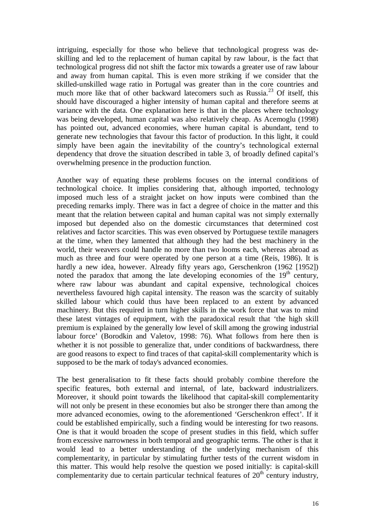intriguing, especially for those who believe that technological progress was deskilling and led to the replacement of human capital by raw labour, is the fact that technological progress did not shift the factor mix towards a greater use of raw labour and away from human capital. This is even more striking if we consider that the skilled-unskilled wage ratio in Portugal was greater than in the core countries and much more like that of other backward latecomers such as Russia.<sup>23</sup> Of itself, this should have discouraged a higher intensity of human capital and therefore seems at variance with the data. One explanation here is that in the places where technology was being developed, human capital was also relatively cheap. As Acemoglu (1998) has pointed out, advanced economies, where human capital is abundant, tend to generate new technologies that favour this factor of production. In this light, it could simply have been again the inevitability of the country's technological external dependency that drove the situation described in table 3, of broadly defined capital's overwhelming presence in the production function.

Another way of equating these problems focuses on the internal conditions of technological choice. It implies considering that, although imported, technology imposed much less of a straight jacket on how inputs were combined than the preceding remarks imply. There was in fact a degree of choice in the matter and this meant that the relation between capital and human capital was not simply externally imposed but depended also on the domestic circumstances that determined cost relatives and factor scarcities. This was even observed by Portuguese textile managers at the time, when they lamented that although they had the best machinery in the world, their weavers could handle no more than two looms each, whereas abroad as much as three and four were operated by one person at a time (Reis, 1986). It is hardly a new idea, however. Already fifty years ago, Gerschenkron (1962 [1952]) noted the paradox that among the late developing economies of the  $19<sup>th</sup>$  century, where raw labour was abundant and capital expensive, technological choices nevertheless favoured high capital intensity. The reason was the scarcity of suitably skilled labour which could thus have been replaced to an extent by advanced machinery. But this required in turn higher skills in the work force that was to mind these latest vintages of equipment, with the paradoxical result that 'the high skill premium is explained by the generally low level of skill among the growing industrial labour force' (Borodkin and Valetov, 1998: 76). What follows from here then is whether it is not possible to generalize that, under conditions of backwardness, there are good reasons to expect to find traces of that capital-skill complementarity which is supposed to be the mark of today's advanced economies.

The best generalisation to fit these facts should probably combine therefore the specific features, both external and internal, of late, backward industrializers. Moreover, it should point towards the likelihood that capital-skill complementarity will not only be present in these economies but also be stronger there than among the more advanced economies, owing to the aforementioned 'Gerschenkron effect'. If it could be established empirically, such a finding would be interesting for two reasons. One is that it would broaden the scope of present studies in this field, which suffer from excessive narrowness in both temporal and geographic terms. The other is that it would lead to a better understanding of the underlying mechanism of this complementarity, in particular by stimulating further tests of the current wisdom in this matter. This would help resolve the question we posed initially: is capital-skill complementarity due to certain particular technical features of  $20<sup>th</sup>$  century industry,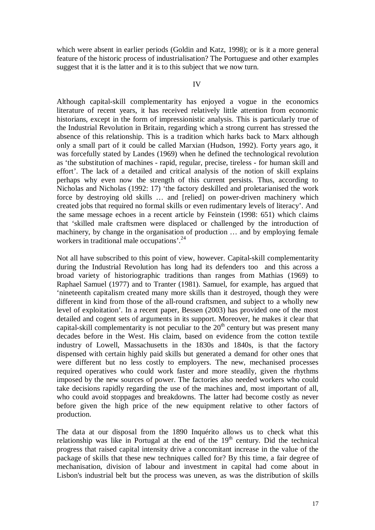which were absent in earlier periods (Goldin and Katz, 1998); or is it a more general feature of the historic process of industrialisation? The Portuguese and other examples suggest that it is the latter and it is to this subject that we now turn.

#### IV

Although capital-skill complementarity has enjoyed a vogue in the economics literature of recent years, it has received relatively little attention from economic historians, except in the form of impressionistic analysis. This is particularly true of the Industrial Revolution in Britain, regarding which a strong current has stressed the absence of this relationship. This is a tradition which harks back to Marx although only a small part of it could be called Marxian (Hudson, 1992). Forty years ago, it was forcefully stated by Landes (1969) when he defined the technological revolution as 'the substitution of machines - rapid, regular, precise, tireless - for human skill and effort'. The lack of a detailed and critical analysis of the notion of skill explains perhaps why even now the strength of this current persists. Thus, according to Nicholas and Nicholas (1992: 17) 'the factory deskilled and proletarianised the work force by destroying old skills … and [relied] on power-driven machinery which created jobs that required no formal skills or even rudimentary levels of literacy'. And the same message echoes in a recent article by Feinstein (1998: 651) which claims that 'skilled male craftsmen were displaced or challenged by the introduction of machinery, by change in the organisation of production … and by employing female workers in traditional male occupations'.<sup>24</sup>

Not all have subscribed to this point of view, however. Capital-skill complementarity during the Industrial Revolution has long had its defenders too and this across a broad variety of historiographic traditions than ranges from Mathias (1969) to Raphael Samuel (1977) and to Tranter (1981). Samuel, for example, has argued that 'nineteenth capitalism created many more skills than it destroyed, though they were different in kind from those of the all-round craftsmen, and subject to a wholly new level of exploitation'. In a recent paper, Bessen (2003) has provided one of the most detailed and cogent sets of arguments in its support. Moreover, he makes it clear that capital-skill complementarity is not peculiar to the  $20<sup>th</sup>$  century but was present many decades before in the West. His claim, based on evidence from the cotton textile industry of Lowell, Massachusetts in the 1830s and 1840s, is that the factory dispensed with certain highly paid skills but generated a demand for other ones that were different but no less costly to employers. The new, mechanised processes required operatives who could work faster and more steadily, given the rhythms imposed by the new sources of power. The factories also needed workers who could take decisions rapidly regarding the use of the machines and, most important of all, who could avoid stoppages and breakdowns. The latter had become costly as never before given the high price of the new equipment relative to other factors of production.

The data at our disposal from the 1890 Inquérito allows us to check what this relationship was like in Portugal at the end of the  $19<sup>th</sup>$  century. Did the technical progress that raised capital intensity drive a concomitant increase in the value of the package of skills that these new techniques called for? By this time, a fair degree of mechanisation, division of labour and investment in capital had come about in Lisbon's industrial belt but the process was uneven, as was the distribution of skills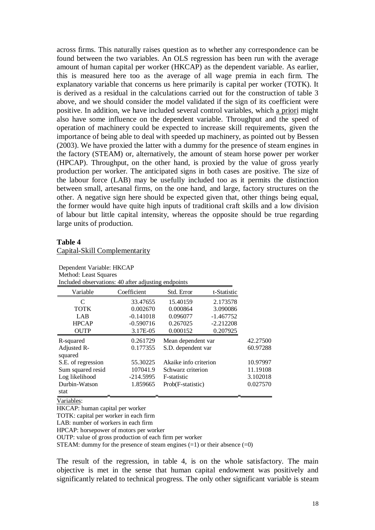across firms. This naturally raises question as to whether any correspondence can be found between the two variables. An OLS regression has been run with the average amount of human capital per worker (HKCAP) as the dependent variable. As earlier, this is measured here too as the average of all wage premia in each firm. The explanatory variable that concerns us here primarily is capital per worker (TOTK). It is derived as a residual in the calculations carried out for the construction of table 3 above, and we should consider the model validated if the sign of its coefficient were positive. In addition, we have included several control variables, which a priori might also have some influence on the dependent variable. Throughput and the speed of operation of machinery could be expected to increase skill requirements, given the importance of being able to deal with speeded up machinery, as pointed out by Bessen (2003). We have proxied the latter with a dummy for the presence of steam engines in the factory (STEAM) or, alternatively, the amount of steam horse power per worker (HPCAP). Throughput, on the other hand, is proxied by the value of gross yearly production per worker. The anticipated signs in both cases are positive. The size of the labour force (LAB) may be usefully included too as it permits the distinction between small, artesanal firms, on the one hand, and large, factory structures on the other. A negative sign here should be expected given that, other things being equal, the former would have quite high inputs of traditional craft skills and a low division of labour but little capital intensity, whereas the opposite should be true regarding large units of production.

#### **Table 4**

Capital-Skill Complementarity

| Method: Least Squares<br>Included observations: 40 after adjusting endpoints |             |                       |             |          |
|------------------------------------------------------------------------------|-------------|-----------------------|-------------|----------|
| Variable                                                                     | Coefficient | Std. Error            | t-Statistic |          |
| C                                                                            | 33.47655    | 15.40159              | 2.173578    |          |
| <b>TOTK</b>                                                                  | 0.002670    | 0.000864              | 3.090086    |          |
| LAB                                                                          | $-0.141018$ | 0.096077              | $-1.467752$ |          |
| <b>HPCAP</b>                                                                 | $-0.590716$ | 0.267025              | $-2.212208$ |          |
| <b>OUTP</b>                                                                  | 3.17E-05    | 0.000152              | 0.207925    |          |
| R-squared                                                                    | 0.261729    | Mean dependent var    |             | 42.27500 |
| Adjusted R-<br>squared                                                       | 0.177355    | S.D. dependent var    |             | 60.97288 |
| S.E. of regression                                                           | 55.30225    | Akaike info criterion |             | 10.97997 |
| Sum squared resid                                                            | 107041.9    | Schwarz criterion     |             | 11.19108 |
| Log likelihood                                                               | $-214.5995$ | F-statistic           |             | 3.102018 |
| Durbin-Watson                                                                | 1.859665    | Prob(F-statistic)     |             | 0.027570 |
| stat                                                                         |             |                       |             |          |

Dependent Variable: HKCAP

Variables:

HKCAP: human capital per worker

TOTK: capital per worker in each firm

LAB: number of workers in each firm

HPCAP: horsepower of motors per worker

OUTP: value of gross production of each firm per worker

STEAM: dummy for the presence of steam engines  $(=1)$  or their absence  $(=0)$ 

The result of the regression, in table 4, is on the whole satisfactory. The main objective is met in the sense that human capital endowment was positively and significantly related to technical progress. The only other significant variable is steam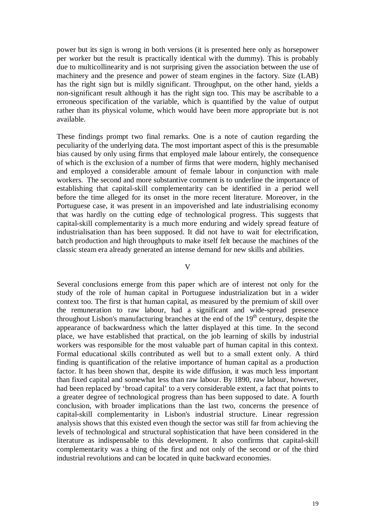power but its sign is wrong in both versions (it is presented here only as horsepower per worker but the result is practically identical with the dummy). This is probably due to multicollinearity and is not surprising given the association between the use of machinery and the presence and power of steam engines in the factory. Size (LAB) has the right sign but is mildly significant. Throughput, on the other hand, yields a non-significant result although it has the right sign too. This may be ascribable to a erroneous specification of the variable, which is quantified by the value of output rather than its physical volume, which would have been more appropriate but is not available.

These findings prompt two final remarks. One is a note of caution regarding the peculiarity of the underlying data. The most important aspect of this is the presumable bias caused by only using firms that employed male labour entirely, the consequence of which is the exclusion of a number of firms that were modern, highly mechanised and employed a considerable amount of female labour in conjunction with male workers. The second and more substantive comment is to underline the importance of establishing that capital-skill complementarity can be identified in a period well before the time alleged for its onset in the more recent literature. Moreover, in the Portuguese case, it was present in an impoverished and late industrialising economy that was hardly on the cutting edge of technological progress. This suggests that capital-skill complementarity is a much more enduring and widely spread feature of industrialisation than has been supposed. It did not have to wait for electrification, batch production and high throughputs to make itself felt because the machines of the classic steam era already generated an intense demand for new skills and abilities.

## V

Several conclusions emerge from this paper which are of interest not only for the study of the role of human capital in Portuguese industrialization but in a wider context too. The first is that human capital, as measured by the premium of skill over the remuneration to raw labour, had a significant and wide-spread presence throughout Lisbon's manufacturing branches at the end of the  $19<sup>th</sup>$  century, despite the appearance of backwardness which the latter displayed at this time. In the second place, we have established that practical, on the job learning of skills by industrial workers was responsible for the most valuable part of human capital in this context. Formal educational skills contributed as well but to a small extent only. A third finding is quantification of the relative importance of human capital as a production factor. It has been shown that, despite its wide diffusion, it was much less important than fixed capital and somewhat less than raw labour. By 1890, raw labour, however, had been replaced by 'broad capital' to a very considerable extent, a fact that points to a greater degree of technological progress than has been supposed to date. A fourth conclusion, with broader implications than the last two, concerns the presence of capital-skill complementarity in Lisbon's industrial structure. Linear regression analysis shows that this existed even though the sector was still far from achieving the levels of technological and structural sophistication that have been considered in the literature as indispensable to this development. It also confirms that capital-skill complementarity was a thing of the first and not only of the second or of the third industrial revolutions and can be located in quite backward economies.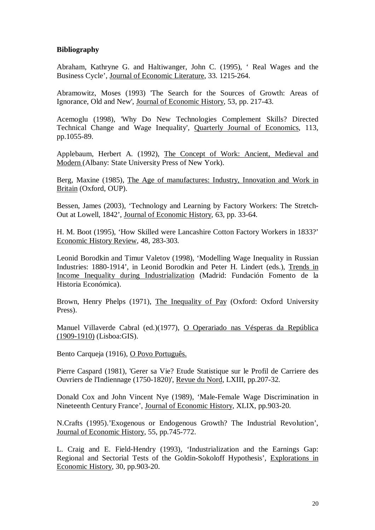# **Bibliography**

Abraham, Kathryne G. and Haltiwanger, John C. (1995), ' Real Wages and the Business Cycle', Journal of Economic Literature, 33. 1215-264.

Abramowitz, Moses (1993) 'The Search for the Sources of Growth: Areas of Ignorance, Old and New', Journal of Economic History, 53, pp. 217-43.

Acemoglu (1998), 'Why Do New Technologies Complement Skills? Directed Technical Change and Wage Inequality', Quarterly Journal of Economics, 113, pp.1055-89.

Applebaum, Herbert A. (1992), The Concept of Work: Ancient, Medieval and Modern (Albany: State University Press of New York).

Berg, Maxine (1985), The Age of manufactures: Industry, Innovation and Work in Britain (Oxford, OUP).

Bessen, James (2003), 'Technology and Learning by Factory Workers: The Stretch-Out at Lowell, 1842', Journal of Economic History, 63, pp. 33-64.

H. M. Boot (1995), 'How Skilled were Lancashire Cotton Factory Workers in 1833?' Economic History Review, 48, 283-303.

Leonid Borodkin and Timur Valetov (1998), 'Modelling Wage Inequality in Russian Industries: 1880-1914', in Leonid Borodkin and Peter H. Lindert (eds.), Trends in Income Inequality during Industrialization (Madrid: Fundación Fomento de la Historia Económica).

Brown, Henry Phelps (1971), The Inequality of Pay (Oxford: Oxford University Press).

Manuel Villaverde Cabral (ed.)(1977), O Operariado nas Vésperas da República (1909-1910) (Lisboa:GIS).

Bento Carqueja (1916), O Povo Português.

Pierre Caspard (1981), 'Gerer sa Vie? Etude Statistique sur le Profil de Carriere des Ouvriers de l'Indiennage (1750-1820)', Revue du Nord, LXIII, pp.207-32.

Donald Cox and John Vincent Nye (1989), 'Male-Female Wage Discrimination in Nineteenth Century France', Journal of Economic History, XLIX, pp.903-20.

N.Crafts (1995).'Exogenous or Endogenous Growth? The Industrial Revolution', Journal of Economic History, 55, pp.745-772.

L. Craig and E. Field-Hendry (1993), 'Industrialization and the Earnings Gap: Regional and Sectorial Tests of the Goldin-Sokoloff Hypothesis', Explorations in Economic History, 30, pp.903-20.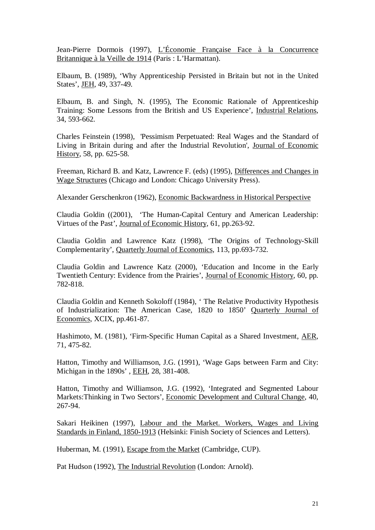Jean-Pierre Dormois (1997), L'Économie Française Face à la Concurrence Britannique à la Veille de 1914 (Paris : L'Harmattan).

Elbaum, B. (1989), 'Why Apprenticeship Persisted in Britain but not in the United States', JEH, 49, 337-49.

Elbaum, B. and Singh, N. (1995), The Economic Rationale of Apprenticeship Training: Some Lessons from the British and US Experience', Industrial Relations, 34, 593-662.

Charles Feinstein (1998), 'Pessimism Perpetuated: Real Wages and the Standard of Living in Britain during and after the Industrial Revolution', Journal of Economic History, 58, pp. 625-58.

Freeman, Richard B. and Katz, Lawrence F. (eds) (1995), Differences and Changes in Wage Structures (Chicago and London: Chicago University Press).

Alexander Gerschenkron (1962), Economic Backwardness in Historical Perspective

Claudia Goldin ((2001), 'The Human-Capital Century and American Leadership: Virtues of the Past', Journal of Economic History, 61, pp.263-92.

Claudia Goldin and Lawrence Katz (1998), 'The Origins of Technology-Skill Complementarity', Quarterly Journal of Economics, 113, pp.693-732.

Claudia Goldin and Lawrence Katz (2000), 'Education and Income in the Early Twentieth Century: Evidence from the Prairies', Journal of Economic History, 60, pp. 782-818.

Claudia Goldin and Kenneth Sokoloff (1984), ' The Relative Productivity Hypothesis of Industrialization: The American Case, 1820 to 1850' Quarterly Journal of Economics, XCIX, pp.461-87.

Hashimoto, M. (1981), 'Firm-Specific Human Capital as a Shared Investment, AER, 71, 475-82.

Hatton, Timothy and Williamson, J.G. (1991), 'Wage Gaps between Farm and City: Michigan in the 1890s' , EEH, 28, 381-408.

Hatton, Timothy and Williamson, J.G. (1992), 'Integrated and Segmented Labour Markets:Thinking in Two Sectors', Economic Development and Cultural Change, 40, 267-94.

Sakari Heikinen (1997), Labour and the Market. Workers, Wages and Living Standards in Finland, 1850-1913 (Helsinki: Finish Society of Sciences and Letters).

Huberman, M. (1991), Escape from the Market (Cambridge, CUP).

Pat Hudson (1992), The Industrial Revolution (London: Arnold).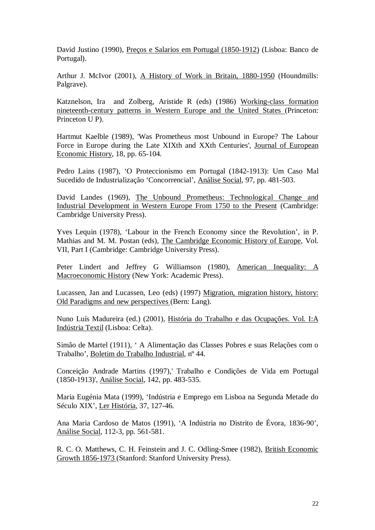David Justino (1990), Preços e Salarios em Portugal (1850-1912) (Lisboa: Banco de Portugal).

Arthur J. McIvor (2001), A History of Work in Britain, 1880-1950 (Houndmills: Palgrave).

Katznelson, Ira and Zolberg, Aristide R (eds) (1986) Working-class formation nineteenth-century patterns in Western Europe and the United States (Princeton: Princeton U P).

Hartmut Kaelble (1989), 'Was Prometheus most Unbound in Europe? The Labour Force in Europe during the Late XIXth and XXth Centuries', Journal of European Economic History, 18, pp. 65-104.

Pedro Lains (1987), 'O Proteccionismo em Portugal (1842-1913): Um Caso Mal Sucedido de Industrialização 'Concorrencial', Análise Social, 97, pp. 481-503.

David Landes (1969), The Unbound Prometheus: Technological Change and Industrial Development in Western Europe From 1750 to the Present (Cambridge: Cambridge University Press).

Yves Lequin (1978), 'Labour in the French Economy since the Revolution', in P. Mathias and M. M. Postan (eds), The Cambridge Economic History of Europe, Vol. VII, Part I (Cambridge: Cambridge University Press).

Peter Lindert and Jeffrey G Williamson (1980), American Inequality: A Macroeconomic History (New York: Academic Press).

Lucassen, Jan and Lucassen, Leo (eds) (1997) Migration, migration history, history: Old Paradigms and new perspectives (Bern: Lang).

Nuno Luís Madureira (ed.) (2001), História do Trabalho e das Ocupações. Vol. I:A Indústria Textil (Lisboa: Celta).

Simão de Martel (1911), ' A Alimentação das Classes Pobres e suas Relações com o Trabalho', Boletim do Trabalho Industrial, nº 44.

Conceição Andrade Martins (1997),' Trabalho e Condições de Vida em Portugal (1850-1913)', Análise Social, 142, pp. 483-535.

Maria Eugénia Mata (1999), 'Indústria e Emprego em Lisboa na Segunda Metade do Século XIX', Ler História, 37, 127-46.

Ana Maria Cardoso de Matos (1991), 'A Indústria no Distrito de Évora, 1836-90', Análise Social, 112-3, pp. 561-581.

R. C. O. Matthews, C. H. Feinstein and J. C. Odling-Smee (1982), British Economic Growth 1856-1973 (Stanford: Stanford University Press).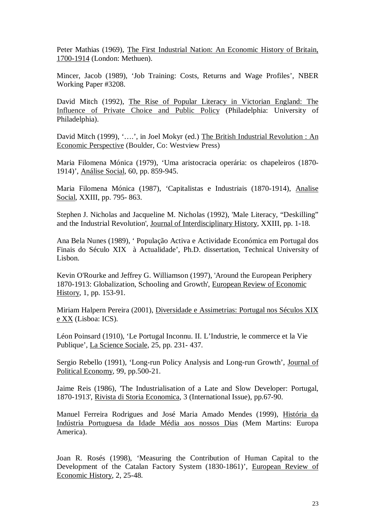Peter Mathias (1969), The First Industrial Nation: An Economic History of Britain, 1700-1914 (London: Methuen).

Mincer, Jacob (1989), 'Job Training: Costs, Returns and Wage Profiles', NBER Working Paper #3208.

David Mitch (1992), The Rise of Popular Literacy in Victorian England: The Influence of Private Choice and Public Policy (Philadelphia: University of Philadelphia).

David Mitch (1999), '….', in Joel Mokyr (ed.) The British Industrial Revolution : An Economic Perspective (Boulder, Co: Westview Press)

Maria Filomena Mónica (1979), 'Uma aristocracia operária: os chapeleiros (1870- 1914)', Análise Social, 60, pp. 859-945.

Maria Filomena Mónica (1987), 'Capitalistas e Industriais (1870-1914), Analise Social, XXIII, pp. 795- 863.

Stephen J. Nicholas and Jacqueline M. Nicholas (1992), 'Male Literacy, "Deskilling" and the Industrial Revolution', Journal of Interdisciplinary History, XXIII, pp. 1-18.

Ana Bela Nunes (1989), ' População Activa e Actividade Económica em Portugal dos Finais do Século XIX à Actualidade', Ph.D. dissertation, Technical University of Lisbon.

Kevin O'Rourke and Jeffrey G. Williamson (1997), 'Around the European Periphery 1870-1913: Globalization, Schooling and Growth', European Review of Economic History, 1, pp. 153-91.

Miriam Halpern Pereira (2001), Diversidade e Assimetrias: Portugal nos Séculos XIX e XX (Lisboa: ICS).

Léon Poinsard (1910), 'Le Portugal Inconnu. II. L'Industrie, le commerce et la Vie Publique', La Science Sociale, 25, pp. 231- 437.

Sergio Rebello (1991), 'Long-run Policy Analysis and Long-run Growth', Journal of Political Economy, 99, pp.500-21.

Jaime Reis (1986), 'The Industrialisation of a Late and Slow Developer: Portugal, 1870-1913', Rivista di Storia Economica, 3 (International Issue), pp.67-90.

Manuel Ferreira Rodrigues and José Maria Amado Mendes (1999), História da Indústria Portuguesa da Idade Média aos nossos Dias (Mem Martins: Europa America).

Joan R. Rosés (1998), 'Measuring the Contribution of Human Capital to the Development of the Catalan Factory System (1830-1861)', European Review of Economic History, 2, 25-48.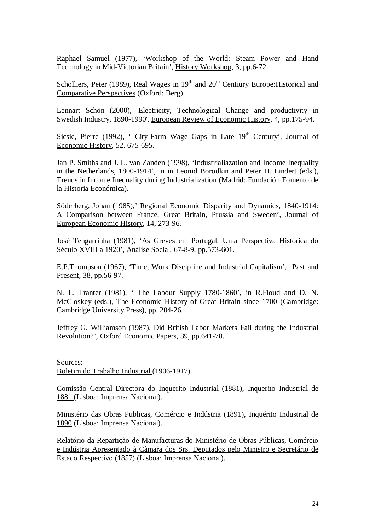Raphael Samuel (1977), 'Workshop of the World: Steam Power and Hand Technology in Mid-Victorian Britain', History Workshop, 3, pp.6-72.

Scholliers, Peter (1989), Real Wages in  $19<sup>th</sup>$  and  $20<sup>th</sup>$  Centiury Europe: Historical and Comparative Perspectives (Oxford: Berg).

Lennart Schön (2000), 'Electricity, Technological Change and productivity in Swedish Industry, 1890-1990', European Review of Economic History, 4, pp.175-94.

Sicsic, Pierre (1992), ' City-Farm Wage Gaps in Late  $19<sup>th</sup>$  Century', Journal of Economic History, 52. 675-695.

Jan P. Smiths and J. L. van Zanden (1998), 'Industrialiazation and Income Inequality in the Netherlands, 1800-1914', in in Leonid Borodkin and Peter H. Lindert (eds.), Trends in Income Inequality during Industrialization (Madrid: Fundación Fomento de la Historia Económica).

Söderberg, Johan (1985),' Regional Economic Disparity and Dynamics, 1840-1914: A Comparison between France, Great Britain, Prussia and Sweden', Journal of European Economic History, 14, 273-96.

José Tengarrinha (1981), 'As Greves em Portugal: Uma Perspectiva Histórica do Século XVIII a 1920', Análise Social, 67-8-9, pp.573-601.

E.P.Thompson (1967), 'Time, Work Discipline and Industrial Capitalism', Past and Present, 38, pp.56-97.

N. L. Tranter (1981), ' The Labour Supply 1780-1860', in R.Floud and D. N. McCloskey (eds.), The Economic History of Great Britain since 1700 (Cambridge: Cambridge University Press), pp. 204-26.

Jeffrey G. Williamson (1987), Did British Labor Markets Fail during the Industrial Revolution?', Oxford Economic Papers, 39, pp.641-78.

Sources: Boletim do Trabalho Industrial (1906-1917)

Comissão Central Directora do Inquerito Industrial (1881), Inquerito Industrial de 1881 (Lisboa: Imprensa Nacional).

Ministério das Obras Publicas, Comércio e Indústria (1891), Inquérito Industrial de 1890 (Lisboa: Imprensa Nacional).

Relatório da Repartição de Manufacturas do Ministério de Obras Públicas, Comércio e Indústria Apresentado à Câmara dos Srs. Deputados pelo Ministro e Secretário de Estado Respectivo (1857) (Lisboa: Imprensa Nacional).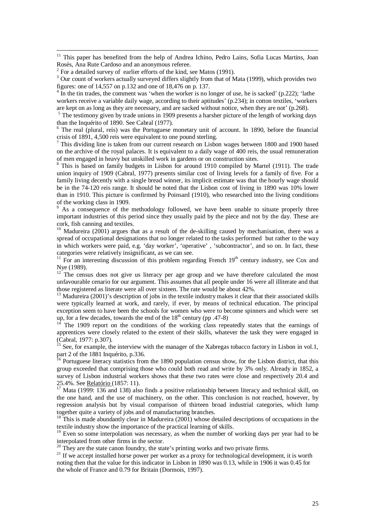<sup>11</sup> This paper has benefited from the help of Andrea Ichino, Pedro Lains, Sofia Lucas Martins, Joan Rosés, Ana Rute Cardoso and an anonymous referee.

 $4 \text{ In the tin trades, the comment was 'when the worker is no longer of use, he is sacked' (p.222); 'lathe$ workers receive a variable daily wage, according to their aptitudes' (p.234); in cotton textiles, 'workers are kept on as long as they are necessary, and are sacked without notice, when they are not' (p.268).

<sup>5</sup> The testimony given by trade unions in 1909 presents a harsher picture of the length of working days than the Inquérito of 1890. See Cabral (1977).

<sup>6</sup> The real (plural, reis) was the Portuguese monetary unit of account. In 1890, before the financial crisis of 1891, 4,500 reis were equivalent to one pound sterling.

 $7$  This dividing line is taken from our current research on Lisbon wages between 1800 and 1900 based on the archive of the royal palaces. It is equivalent to a daily wage of 400 reis, the usual remuneration of men engaged in heavy but unskilled work in gardens or on construction sites.

<sup>8</sup> This is based on family budgets in Lisbon for around 1910 compiled by Martel (1911). The trade union inquiry of 1909 (Cabral, 1977) presents similar cost of living levels for a family of five. For a family living decently with a single bread winner, its implicit estimate was that the hourly wage should be in the 74-120 reis range. It should be noted that the Lisbon cost of living in 1890 was 10% lower than in 1910. This picture is confirmed by Poinsard (1910), who researched into the living conditions of the working class in 1909.

9 As a consequence of the methodology followed, we have been unable to situate properly three important industries of this period since they usually paid by the piece and not by the day. These are cork, fish canning and textiles.

<sup>10</sup> Madureira (2001) argues that as a result of the de-skilling caused by mechanisation, there was a spread of occupational designations that no longer related to the tasks performed but rather to the way in which workers were paid, e.g. 'day worker', 'operative' , 'subcontractor', and so on. In fact, these categories were relatively insignificant, as we can see.

 $11$  For an interesting discussion of this problem regarding French  $19<sup>th</sup>$  century industry, see Cox and Nye (1989).

 $12^{12}$  The census does not give us literacy per age group and we have therefore calculated the most unfavourable cenario for our argument. This assumes that all people under 16 were all illiterate and that those registered as literate were all over sixteen. The rate would be about 42%.

<sup>13</sup> Madureira (2001)'s description of jobs in the textile industry makes it clear that their associated skills were typically learned at work, and rarely, if ever, by means of technical education. The principal exception seem to have been the schools for women who were to become spinners and which were set up, for a few decades, towards the end of the  $18<sup>th</sup>$  century (pp. 47-8)

The 1909 report on the conditions of the working class repeatedly states that the earnings of apprentices were closely related to the extent of their skills, whatever the task they were engaged in (Cabral, 1977: p.307).

<sup>15</sup> See, for example, the interview with the manager of the Xabregas tobacco factory in Lisbon in vol.1, part 2 of the 1881 Inquérito, p.336.

<sup>16</sup> Portuguese literacy statistics from the 1890 population census show, for the Lisbon district, that this group exceeded that comprising those who could both read and write by 3% only. Already in 1852, a survey of Lisbon industrial workers shows that these two rates were close and respectively 20.4 and 25.4%. See Relatório (1857: 11).

<sup>17</sup> Mata (1999: 136 and 138) also finds a positive relationship between literacy and technical skill, on the one hand, and the use of machinery, on the other. This conclusion is not reached, however, by regression analysis but by visual comparison of thirteen broad industrial categories, which lump together quite a variety of jobs and of manufacturing branches.

 $18$ <sup>18</sup> This is made abundantly clear in Madureira (2001) whose detailed descriptions of occupations in the textile industry show the importance of the practical learning of skills.

<sup>19</sup> Even so some interpolation was necessary, as when the number of working days per year had to be interpolated from other firms in the sector.

 $20$  They are the state canon foundry, the state's printing works and two private firms.

<sup>21</sup> If we accept installed horse power per worker as a proxy for technological development, it is worth noting then that the value for this indicator in Lisbon in 1890 was 0.13, while in 1906 it was 0.45 for the whole of France and 0.79 for Britain (Dormois, 1997).

 $2^2$  For a detailed survey of earlier efforts of the kind, see Matos (1991).

<sup>&</sup>lt;sup>3</sup> Our count of workers actually surveyed differs slightly from that of Mata (1999), which provides two figures: one of 14,557 on p.132 and one of 18,476 on p. 137.